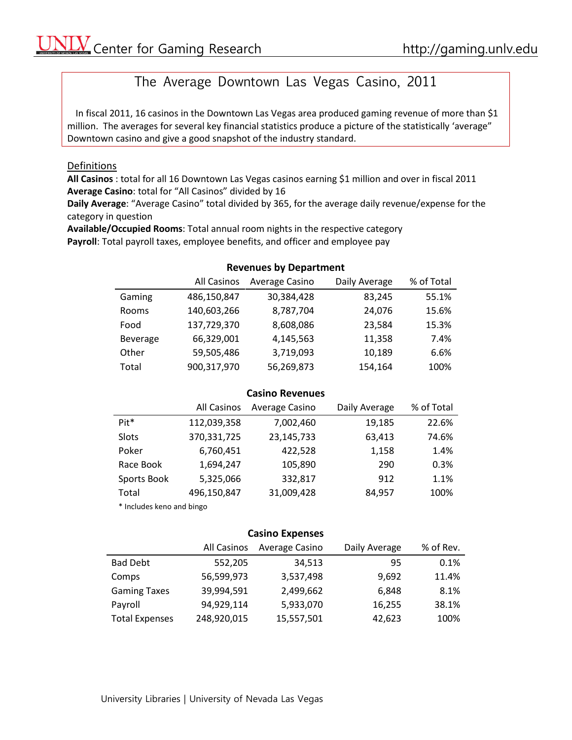# The Average Downtown Las Vegas Casino, 2011

In fiscal 2011, 16 casinos in the Downtown Las Vegas area produced gaming revenue of more than \$1 million. The averages for several key financial statistics produce a picture of the statistically 'average" Downtown casino and give a good snapshot of the industry standard.

#### Definitions

**All Casinos** : total for all 16 Downtown Las Vegas casinos earning \$1 million and over in fiscal 2011 **Average Casino**: total for "All Casinos" divided by 16

**Daily Average**: "Average Casino" total divided by 365, for the average daily revenue/expense for the category in question

**Available/Occupied Rooms**: Total annual room nights in the respective category **Payroll**: Total payroll taxes, employee benefits, and officer and employee pay

## **Revenues by Department**

|          | <b>All Casinos</b> | Average Casino | Daily Average | % of Total |
|----------|--------------------|----------------|---------------|------------|
| Gaming   | 486,150,847        | 30,384,428     | 83,245        | 55.1%      |
| Rooms    | 140,603,266        | 8,787,704      | 24,076        | 15.6%      |
| Food     | 137,729,370        | 8,608,086      | 23,584        | 15.3%      |
| Beverage | 66,329,001         | 4,145,563      | 11,358        | 7.4%       |
| Other    | 59,505,486         | 3,719,093      | 10,189        | 6.6%       |
| Total    | 900,317,970        | 56,269,873     | 154,164       | 100%       |

## **Casino Revenues**

|                           | All Casinos | Average Casino | Daily Average | % of Total |
|---------------------------|-------------|----------------|---------------|------------|
| Pit*                      | 112,039,358 | 7,002,460      | 19,185        | 22.6%      |
| Slots                     | 370,331,725 | 23,145,733     | 63,413        | 74.6%      |
| Poker                     | 6,760,451   | 422,528        | 1,158         | 1.4%       |
| Race Book                 | 1,694,247   | 105,890        | 290           | 0.3%       |
| Sports Book               | 5,325,066   | 332,817        | 912           | 1.1%       |
| Total                     | 496,150,847 | 31,009,428     | 84,957        | 100%       |
| * Includes keno and bingo |             |                |               |            |

#### **Casino Expenses**

|                       | All Casinos | Average Casino | Daily Average | % of Rev. |
|-----------------------|-------------|----------------|---------------|-----------|
| <b>Bad Debt</b>       | 552,205     | 34,513         | 95            | 0.1%      |
| Comps                 | 56,599,973  | 3,537,498      | 9,692         | 11.4%     |
| <b>Gaming Taxes</b>   | 39,994,591  | 2,499,662      | 6,848         | 8.1%      |
| Payroll               | 94,929,114  | 5,933,070      | 16,255        | 38.1%     |
| <b>Total Expenses</b> | 248,920,015 | 15,557,501     | 42,623        | 100%      |